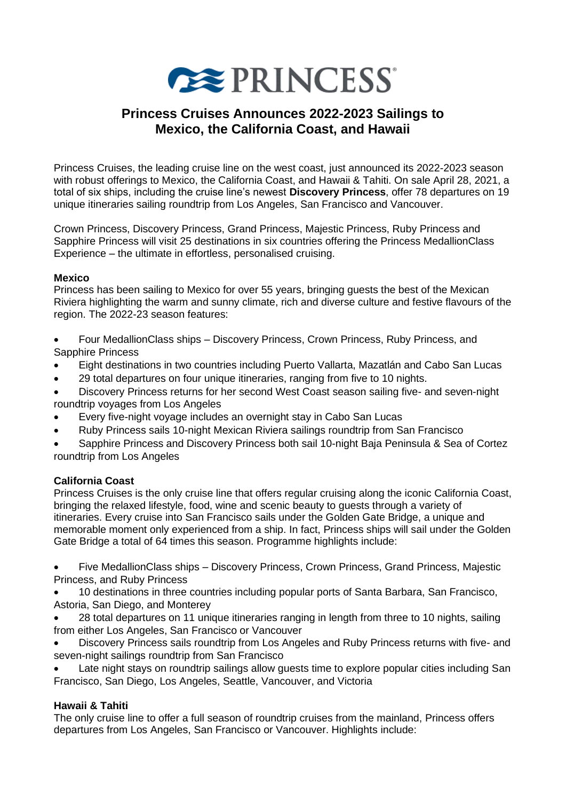

# **Princess Cruises Announces 2022-2023 Sailings to Mexico, the California Coast, and Hawaii**

Princess Cruises, the leading cruise line on the west coast, just announced its 2022-2023 season with robust offerings to Mexico, the California Coast, and Hawaii & Tahiti. On sale April 28, 2021, a total of six ships, including the cruise line's newest **Discovery Princess**, offer 78 departures on 19 unique itineraries sailing roundtrip from Los Angeles, San Francisco and Vancouver.

Crown Princess, Discovery Princess, Grand Princess, Majestic Princess, Ruby Princess and Sapphire Princess will visit 25 destinations in six countries offering the Princess MedallionClass Experience – the ultimate in effortless, personalised cruising.

### **Mexico**

Princess has been sailing to Mexico for over 55 years, bringing guests the best of the Mexican Riviera highlighting the warm and sunny climate, rich and diverse culture and festive flavours of the region. The 2022-23 season features:

- Four MedallionClass ships Discovery Princess, Crown Princess, Ruby Princess, and Sapphire Princess
- Eight destinations in two countries including Puerto Vallarta, Mazatlán and Cabo San Lucas
- 29 total departures on four unique itineraries, ranging from five to 10 nights.
- Discovery Princess returns for her second West Coast season sailing five- and seven-night roundtrip voyages from Los Angeles
- Every five-night voyage includes an overnight stay in Cabo San Lucas
- Ruby Princess sails 10-night Mexican Riviera sailings roundtrip from San Francisco

• Sapphire Princess and Discovery Princess both sail 10-night Baja Peninsula & Sea of Cortez roundtrip from Los Angeles

### **California Coast**

Princess Cruises is the only cruise line that offers regular cruising along the iconic California Coast, bringing the relaxed lifestyle, food, wine and scenic beauty to guests through a variety of itineraries. Every cruise into San Francisco sails under the Golden Gate Bridge, a unique and memorable moment only experienced from a ship. In fact, Princess ships will sail under the Golden Gate Bridge a total of 64 times this season. Programme highlights include:

• Five MedallionClass ships – Discovery Princess, Crown Princess, Grand Princess, Majestic Princess, and Ruby Princess

• 10 destinations in three countries including popular ports of Santa Barbara, San Francisco, Astoria, San Diego, and Monterey

- 28 total departures on 11 unique itineraries ranging in length from three to 10 nights, sailing from either Los Angeles, San Francisco or Vancouver
- Discovery Princess sails roundtrip from Los Angeles and Ruby Princess returns with five- and seven-night sailings roundtrip from San Francisco

Late night stays on roundtrip sailings allow guests time to explore popular cities including San Francisco, San Diego, Los Angeles, Seattle, Vancouver, and Victoria

### **Hawaii & Tahiti**

The only cruise line to offer a full season of roundtrip cruises from the mainland, Princess offers departures from Los Angeles, San Francisco or Vancouver. Highlights include: